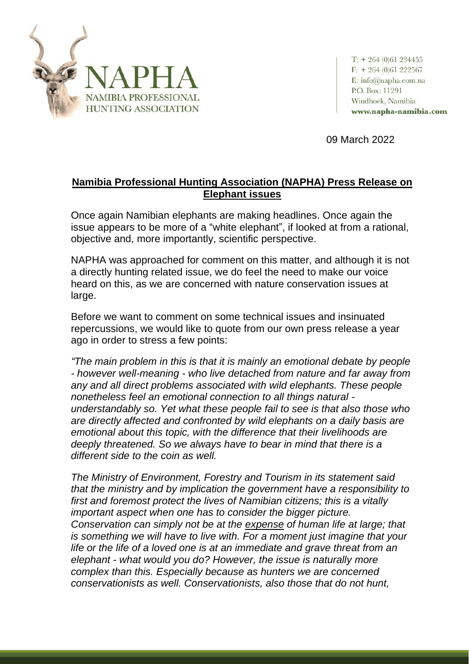

 $T: + 264(0)61234455$  $F: + 264(0)61222567$ E: info@napha.com.na P.O. Box: 11291 Windhoek, Namibia www.napha-namibia.com

09 March 2022

## **Namibia Professional Hunting Association (NAPHA) Press Release on Elephant issues**

Once again Namibian elephants are making headlines. Once again the issue appears to be more of a "white elephant", if looked at from a rational, objective and, more importantly, scientific perspective.

NAPHA was approached for comment on this matter, and although it is not a directly hunting related issue, we do feel the need to make our voice heard on this, as we are concerned with nature conservation issues at large.

Before we want to comment on some technical issues and insinuated repercussions, we would like to quote from our own press release a year ago in order to stress a few points:

*"The main problem in this is that it is mainly an emotional debate by people - however well-meaning - who live detached from nature and far away from any and all direct problems associated with wild elephants. These people nonetheless feel an emotional connection to all things natural understandably so. Yet what these people fail to see is that also those who are directly affected and confronted by wild elephants on a daily basis are emotional about this topic, with the difference that their livelihoods are deeply threatened. So we always have to bear in mind that there is a different side to the coin as well.*

*The Ministry of Environment, Forestry and Tourism in its statement said that the ministry and by implication the government have a responsibility to first and foremost protect the lives of Namibian citizens; this is a vitally important aspect when one has to consider the bigger picture. Conservation can simply not be at the expense of human life at large; that is something we will have to live with. For a moment just imagine that your life or the life of a loved one is at an immediate and grave threat from an elephant - what would you do? However, the issue is naturally more complex than this. Especially because as hunters we are concerned conservationists as well. Conservationists, also those that do not hunt,*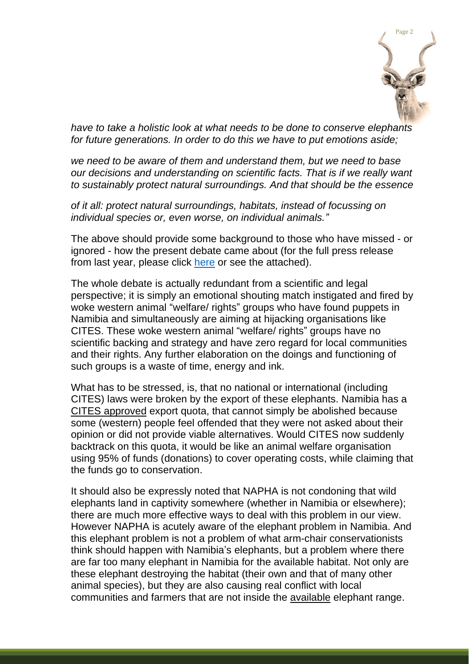

*have to take a holistic look at what needs to be done to conserve elephants for future generations. In order to do this we have to put emotions aside;*

*we need to be aware of them and understand them, but we need to base our decisions and understanding on scientific facts. That is if we really want to sustainably protect natural surroundings. And that should be the essence*

*of it all: protect natural surroundings, habitats, instead of focussing on individual species or, even worse, on individual animals."*

The above should provide some background to those who have missed - or ignored - how the present debate came about (for the full press release from last year, please click [here](https://drive.google.com/file/d/1ps2744VGhKOxaJgKxwfk2RWusMzjH8Uq/view?usp=sharing) or see the attached).

The whole debate is actually redundant from a scientific and legal perspective; it is simply an emotional shouting match instigated and fired by woke western animal "welfare/ rights" groups who have found puppets in Namibia and simultaneously are aiming at hijacking organisations like CITES. These woke western animal "welfare/ rights" groups have no scientific backing and strategy and have zero regard for local communities and their rights. Any further elaboration on the doings and functioning of such groups is a waste of time, energy and ink.

What has to be stressed, is, that no national or international (including CITES) laws were broken by the export of these elephants. Namibia has a CITES approved export quota, that cannot simply be abolished because some (western) people feel offended that they were not asked about their opinion or did not provide viable alternatives. Would CITES now suddenly backtrack on this quota, it would be like an animal welfare organisation using 95% of funds (donations) to cover operating costs, while claiming that the funds go to conservation.

It should also be expressly noted that NAPHA is not condoning that wild elephants land in captivity somewhere (whether in Namibia or elsewhere); there are much more effective ways to deal with this problem in our view. However NAPHA is acutely aware of the elephant problem in Namibia. And this elephant problem is not a problem of what arm-chair conservationists think should happen with Namibia's elephants, but a problem where there are far too many elephant in Namibia for the available habitat. Not only are these elephant destroying the habitat (their own and that of many other animal species), but they are also causing real conflict with local communities and farmers that are not inside the available elephant range.